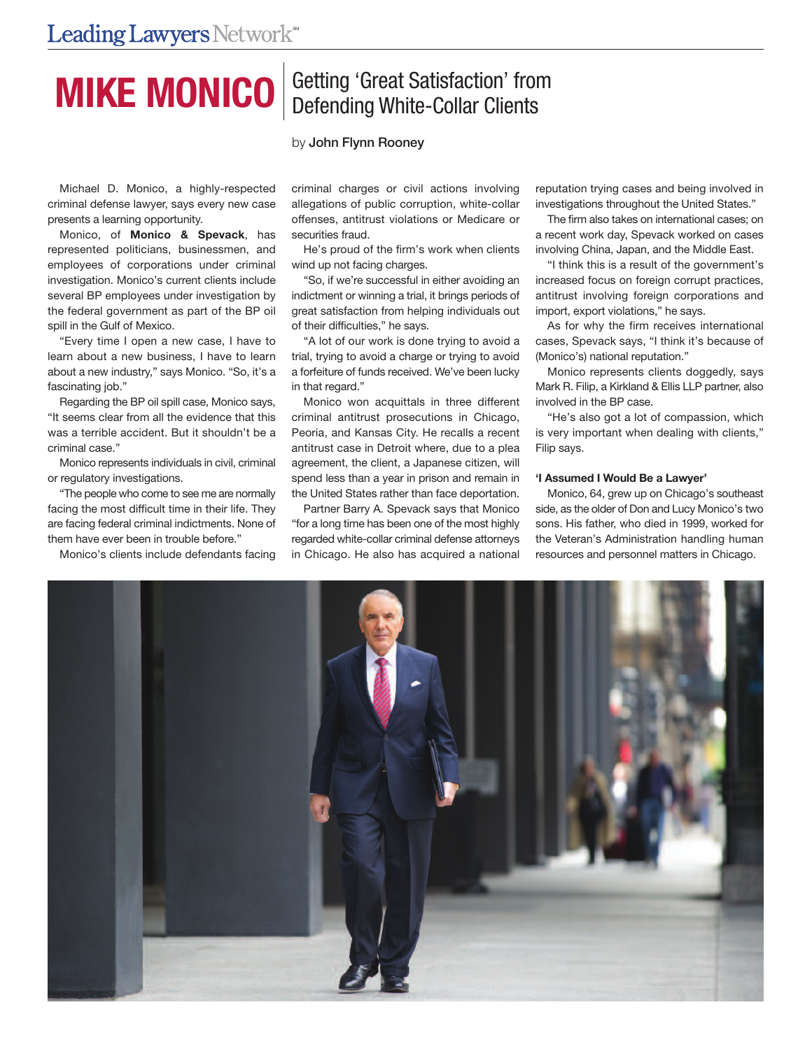# **MIKE MONICO** Betting 'Great Satisfaction' from

## by **John Flynn Rooney**

Michael D. Monico, a highly-respected criminal defense lawyer, says every new case presents a learning opportunity.

Monico, of **Monico & Spevack**, has represented politicians, businessmen, and employees of corporations under criminal investigation. Monico's current clients include several BP employees under investigation by the federal government as part of the BP oil spill in the Gulf of Mexico.

"Every time I open a new case, I have to learn about a new business, I have to learn about a new industry," says Monico. "So, it's a fascinating job."

Regarding the BP oil spill case, Monico says, "It seems clear from all the evidence that this was a terrible accident. But it shouldn't be a criminal case."

Monico represents individuals in civil, criminal or regulatory investigations.

"The people who come to see me are normally facing the most difficult time in their life. They are facing federal criminal indictments. None of them have ever been in trouble before."

Monico's clients include defendants facing

criminal charges or civil actions involving allegations of public corruption, white-collar offenses, antitrust violations or Medicare or securities fraud.

He's proud of the firm's work when clients wind up not facing charges.

"So, if we're successful in either avoiding an indictment or winning a trial, it brings periods of great satisfaction from helping individuals out of their difficulties," he says.

"A lot of our work is done trying to avoid a trial, trying to avoid a charge or trying to avoid a forfeiture of funds received. We've been lucky in that regard."

Monico won acquittals in three different criminal antitrust prosecutions in Chicago, Peoria, and Kansas City. He recalls a recent antitrust case in Detroit where, due to a plea agreement, the client, a Japanese citizen, will spend less than a year in prison and remain in the United States rather than face deportation.

Partner Barry A. Spevack says that Monico "for a long time has been one of the most highly regarded white-collar criminal defense attorneys in Chicago. He also has acquired a national

reputation trying cases and being involved in investigations throughout the United States."

The firm also takes on international cases; on a recent work day, Spevack worked on cases involving China, Japan, and the Middle East.

"I think this is a result of the government's increased focus on foreign corrupt practices. antitrust involving foreign corporations and import, export violations," he says.

As for why the firm receives international cases, Spevack says, "I think it's because of (Monico's) national reputation."

Monico represents clients doggedly, says Mark R. Filip, a Kirkland & Ellis LLP partner, also involved in the BP case.

"He's also got a lot of compassion, which is very important when dealing with clients," Filip says.

#### **'I Assumed I Would Be a Lawyer'**

Monico, 64, grew up on Chicago's southeast side, as the older of Don and Lucy Monico's two sons. His father, who died in 1999, worked for the Veteran's Administration handling human resources and personnel matters in Chicago.

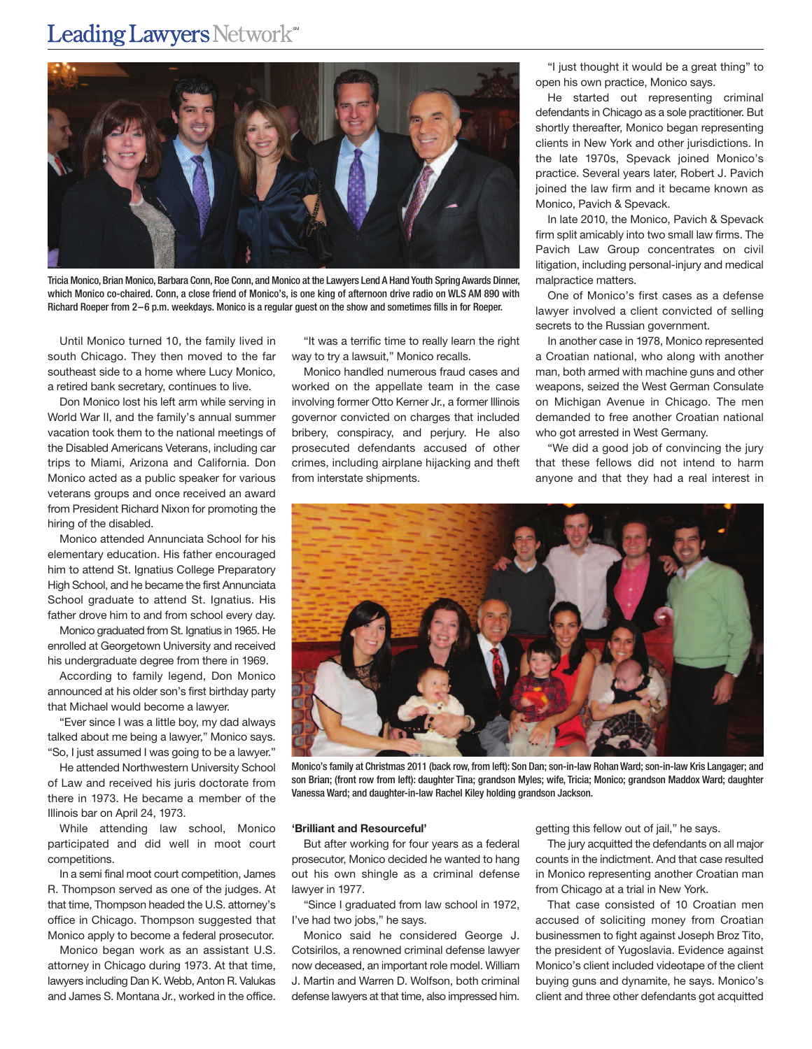## Leading Lawyers Network<sup>\*\*</sup>



Tricia Monico, Brian Monico, Barbara Conn, Roe Conn, and Monico at the Lawyers Lend A Hand Youth Spring Awards Dinner, which Monico co-chaired. Conn, a close friend of Monico's, is one king of afternoon drive radio on WLS AM 890 with Richard Roeper from 2–6 p.m. weekdays. Monico is a regular guest on the show and sometimes fills in for Roeper.

Until Monico turned 10, the family lived in south Chicago. They then moved to the far southeast side to a home where Lucy Monico, a retired bank secretary, continues to live.

Don Monico lost his left arm while serving in World War II, and the family's annual summer vacation took them to the national meetings of the Disabled Americans Veterans, including car trips to Miami, Arizona and California. Don Monico acted as a public speaker for various veterans groups and once received an award from President Richard Nixon for promoting the hiring of the disabled.

Monico attended Annunciata School for his elementary education. His father encouraged him to attend St. Ignatius College Preparatory High School, and he became the first Annunciata School graduate to attend St. Ignatius. His father drove him to and from school every day.

Monico graduated from St. Ignatius in 1965. He enrolled at Georgetown University and received his undergraduate degree from there in 1969.

According to family legend, Don Monico announced at his older son's first birthday party that Michael would become a lawyer.

"Ever since I was a little boy, my dad always talked about me being a lawyer," Monico says. "So, I just assumed I was going to be a lawyer."

He attended Northwestern University School of Law and received his juris doctorate from there in 1973. He became a member of the Illinois bar on April 24, 1973.

While attending law school, Monico participated and did well in moot court competitions.

In a semi final moot court competition, James R. Thompson served as one of the judges. At that time, Thompson headed the U.S. attorney's office in Chicago. Thompson suggested that Monico apply to become a federal prosecutor.

Monico began work as an assistant U.S. attorney in Chicago during 1973. At that time, lawyers including Dan K. Webb, Anton R. Valukas and James S. Montana Jr., worked in the office.

"It was a terrific time to really learn the right way to try a lawsuit," Monico recalls.

Monico handled numerous fraud cases and worked on the appellate team in the case involving former Otto Kerner Jr., a former Illinois governor convicted on charges that included bribery, conspiracy, and perjury. He also prosecuted defendants accused of other crimes, including airplane hijacking and theft from interstate shipments.

"I just thought it would be a great thing" to open his own practice, Monico says.

He started out representing criminal defendants in Chicago as a sole practitioner. But shortly thereafter, Monico began representing clients in New York and other jurisdictions. In the late 1970s, Spevack joined Monico's practice. Several years later, Robert J. Pavich joined the law firm and it became known as Monico, Pavich & Spevack.

In late 2010, the Monico, Pavich & Spevack firm split amicably into two small law firms. The Pavich Law Group concentrates on civil litigation, including personal-injury and medical malpractice matters.

One of Monico's first cases as a defense lawyer involved a client convicted of selling secrets to the Russian government.

In another case in 1978, Monico represented a Croatian national, who along with another man, both armed with machine guns and other weapons, seized the West German Consulate on Michigan Avenue in Chicago. The men demanded to free another Croatian national who got arrested in West Germany.

"We did a good job of convincing the jury that these fellows did not intend to harm anyone and that they had a real interest in



Monico's family at Christmas 2011 (back row, from left): Son Dan; son-in-law Rohan Ward; son-in-law Kris Langager; and son Brian; (front row from left): daughter Tina; grandson Myles; wife, Tricia; Monico; grandson Maddox Ward; daughter Vanessa Ward; and daughter-in-law Rachel Kiley holding grandson Jackson.

### **'Brilliant and Resourceful'**

But after working for four years as a federal prosecutor, Monico decided he wanted to hang out his own shingle as a criminal defense lawyer in 1977.

"Since I graduated from law school in 1972, I've had two jobs," he says.

Monico said he considered George J. Cotsirilos, a renowned criminal defense lawyer now deceased, an important role model. William J. Martin and Warren D. Wolfson, both criminal defense lawyers at that time, also impressed him.

getting this fellow out of jail," he says.

The jury acquitted the defendants on all major counts in the indictment. And that case resulted in Monico representing another Croatian man from Chicago at a trial in New York.

That case consisted of 10 Croatian men accused of soliciting money from Croatian businessmen to fight against Joseph Broz Tito, the president of Yugoslavia. Evidence against Monico's client included videotape of the client buying guns and dynamite, he says. Monico's client and three other defendants got acquitted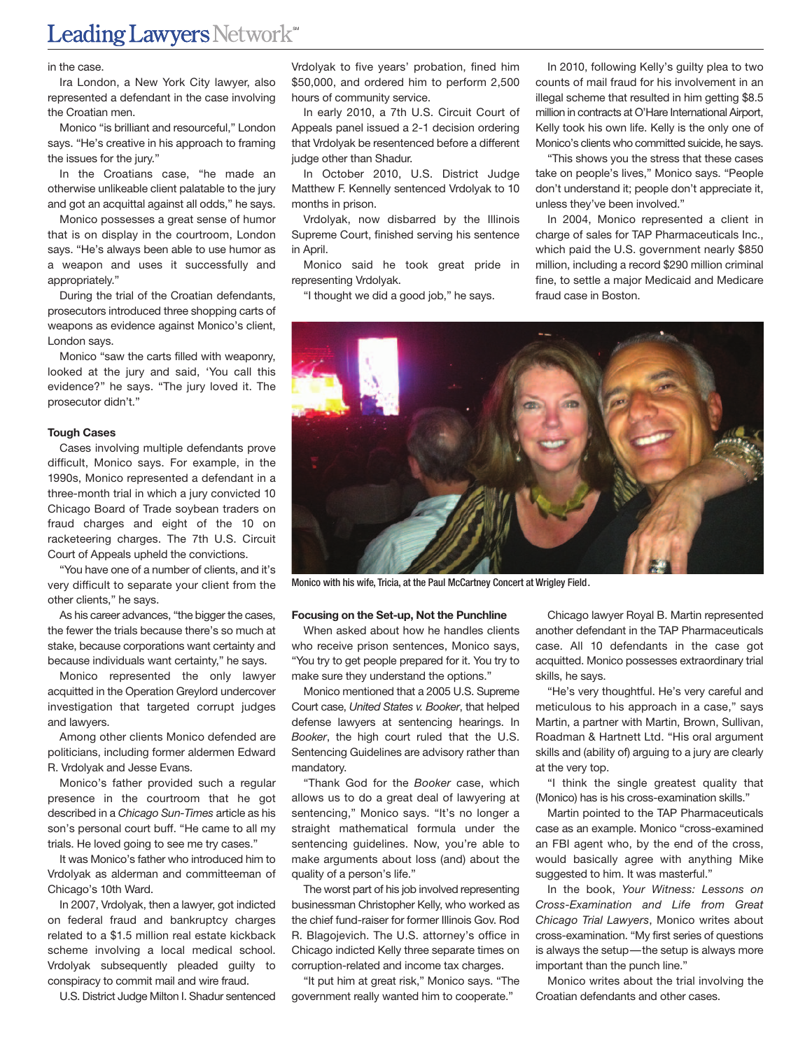#### in the case.

Ira London, a New York City lawyer, also represented a defendant in the case involving the Croatian men.

Monico "is brilliant and resourceful," London says. "He's creative in his approach to framing the issues for the jury."

In the Croatians case, "he made an otherwise unlikeable client palatable to the jury and got an acquittal against all odds," he says.

Monico possesses a great sense of humor that is on display in the courtroom, London says. "He's always been able to use humor as a weapon and uses it successfully and appropriately."

During the trial of the Croatian defendants, prosecutors introduced three shopping carts of weapons as evidence against Monico's client, London says.

Monico "saw the carts filled with weaponry, looked at the jury and said, 'You call this evidence?" he says. "The jury loved it. The prosecutor didn't."

#### **Tough Cases**

Cases involving multiple defendants prove difficult, Monico says. For example, in the 1990s, Monico represented a defendant in a three-month trial in which a jury convicted 10 Chicago Board of Trade soybean traders on fraud charges and eight of the 10 on racketeering charges. The 7th U.S. Circuit Court of Appeals upheld the convictions.

"You have one of a number of clients, and it's very difficult to separate your client from the other clients," he says.

As his career advances, "the bigger the cases, the fewer the trials because there's so much at stake, because corporations want certainty and because individuals want certainty," he says.

Monico represented the only lawyer acquitted in the Operation Greylord undercover investigation that targeted corrupt judges and lawyers.

Among other clients Monico defended are politicians, including former aldermen Edward R. Vrdolyak and Jesse Evans.

Monico's father provided such a regular presence in the courtroom that he got described in a *Chicago Sun-Times* article as his son's personal court buff. "He came to all my trials. He loved going to see me try cases."

It was Monico's father who introduced him to Vrdolyak as alderman and committeeman of Chicago's 10th Ward.

In 2007, Vrdolyak, then a lawyer, got indicted on federal fraud and bankruptcy charges related to a \$1.5 million real estate kickback scheme involving a local medical school. Vrdolyak subsequently pleaded guilty to conspiracy to commit mail and wire fraud.

U.S. District Judge Milton I. Shadur sentenced

Vrdolyak to five years' probation, fined him \$50,000, and ordered him to perform 2,500 hours of community service.

In early 2010, a 7th U.S. Circuit Court of Appeals panel issued a 2-1 decision ordering that Vrdolyak be resentenced before a different judge other than Shadur.

In October 2010, U.S. District Judge Matthew F. Kennelly sentenced Vrdolyak to 10 months in prison.

Vrdolyak, now disbarred by the Illinois Supreme Court, finished serving his sentence in April

Monico said he took great pride in representing Vrdolyak.

"I thought we did a good job," he says.

In 2010, following Kelly's guilty plea to two counts of mail fraud for his involvement in an illegal scheme that resulted in him getting \$8.5 million in contracts at O'Hare International Airport, Kelly took his own life. Kelly is the only one of Monico's clients who committed suicide, he says.

"This shows you the stress that these cases take on people's lives," Monico says. "People don't understand it; people don't appreciate it, unless they've been involved."

In 2004, Monico represented a client in charge of sales for TAP Pharmaceuticals Inc., which paid the U.S. government nearly \$850 million, including a record \$290 million criminal fine, to settle a major Medicaid and Medicare fraud case in Boston.



Monico with his wife, Tricia, at the Paul McCartney Concert at Wrigley Field.

#### **Focusing on the Set-up, Not the Punchline**

When asked about how he handles clients who receive prison sentences, Monico says, "You try to get people prepared for it. You try to make sure they understand the options."

Monico mentioned that a 2005 U.S. Supreme Court case, *United States v. Booker*, that helped defense lawyers at sentencing hearings. In *Booker*, the high court ruled that the U.S. Sentencing Guidelines are advisory rather than mandatory.

"Thank God for the *Booker* case, which allows us to do a great deal of lawyering at sentencing," Monico says. "It's no longer a straight mathematical formula under the sentencing guidelines. Now, you're able to make arguments about loss (and) about the quality of a person's life."

The worst part of his job involved representing businessman Christopher Kelly, who worked as the chief fund-raiser for former Illinois Gov. Rod R. Blagojevich. The U.S. attorney's office in Chicago indicted Kelly three separate times on corruption-related and income tax charges.

"It put him at great risk," Monico says. "The government really wanted him to cooperate."

Chicago lawyer Royal B. Martin represented another defendant in the TAP Pharmaceuticals case. All 10 defendants in the case got acquitted. Monico possesses extraordinary trial skills, he says.

"He's very thoughtful. He's very careful and meticulous to his approach in a case," says Martin, a partner with Martin, Brown, Sullivan, Roadman & Hartnett Ltd. "His oral argument skills and (ability of) arguing to a jury are clearly at the very top.

"I think the single greatest quality that (Monico) has is his cross-examination skills."

Martin pointed to the TAP Pharmaceuticals case as an example. Monico "cross-examined an FBI agent who, by the end of the cross, would basically agree with anything Mike suggested to him. It was masterful."

In the book, *Your Witness: Lessons on Cross-Examination and Life from Great Chicago Trial Lawyers*, Monico writes about cross-examination. "My first series of questions is always the setup—the setup is always more important than the punch line."

Monico writes about the trial involving the Croatian defendants and other cases.